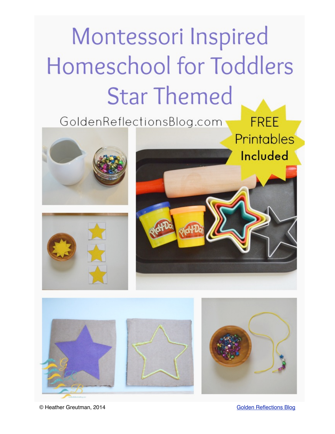# Montessori Inspired Homeschool for Toddlers **Star Themed**

GoldenReflectionsBlog.com

**FREE** Printables Included









© Heather Greutman, 2014 **Golden Reflections Blog**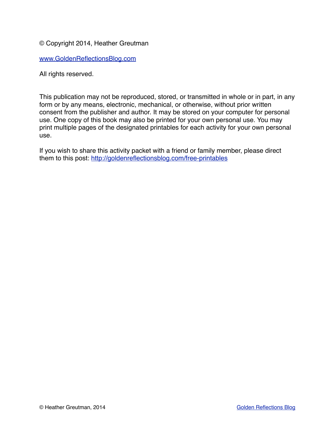## © Copyright 2014, Heather Greutman

[www.GoldenReflectionsBlog.com](http://www.GoldenReflectionsBlog.com)

All rights reserved.

This publication may not be reproduced, stored, or transmitted in whole or in part, in any form or by any means, electronic, mechanical, or otherwise, without prior written consent from the publisher and author. It may be stored on your computer for personal use. One copy of this book may also be printed for your own personal use. You may print multiple pages of the designated printables for each activity for your own personal use.

If you wish to share this activity packet with a friend or family member, please direct them to this post: <http://goldenreflectionsblog.com/free-printables>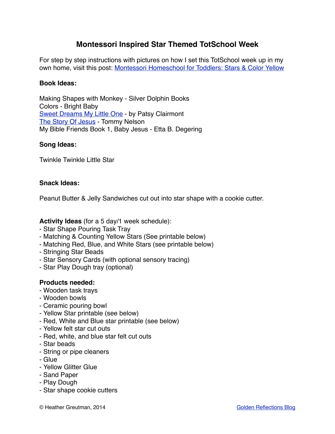# **Montessori Inspired Star Themed TotSchool Week**

For step by step instructions with pictures on how I set this TotSchool week up in my own home, visit this post: [Montessori Homeschool for Toddlers: Stars & Color Yellow](http://goldenreflectionsblog.com/?p=3896)

### **Book Ideas:**

Making Shapes with Monkey - Silver Dolphin Books Colors - Bright Baby [Sweet Dreams My Little One](http://goldenreflectionsblog.com/2014/06/christian-book-reviews-for-kids-sleep-sweet-little-one-patsy-clairmont.html) - by Patsy Clairmont [The Story Of Jesus](http://goldenreflectionsblog.com/2014/04/the-story-of-jesus-easter-book-for-toddlers.html) - Tommy Nelson My Bible Friends Book 1, Baby Jesus - Etta B. Degering

#### **Song Ideas:**

Twinkle Twinkle Little Star

#### **Snack Ideas:**

Peanut Butter & Jelly Sandwiches cut out into star shape with a cookie cutter.

**Activity Ideas** (for a 5 day/1 week schedule):

- Star Shape Pouring Task Tray
- Matching & Counting Yellow Stars (See printable below)
- Matching Red, Blue, and White Stars (see printable below)
- Stringing Star Beads
- Star Sensory Cards (with optional sensory tracing)
- Star Play Dough tray (optional)

### **Products needed:**

- Wooden task trays
- Wooden bowls
- Ceramic pouring bowl
- Yellow Star printable (see below)
- Red, White and Blue star printable (see below)
- Yellow felt star cut outs
- Red, white, and blue star felt cut outs
- Star beads
- String or pipe cleaners
- Glue
- Yellow Glitter Glue
- Sand Paper
- Play Dough
- Star shape cookie cutters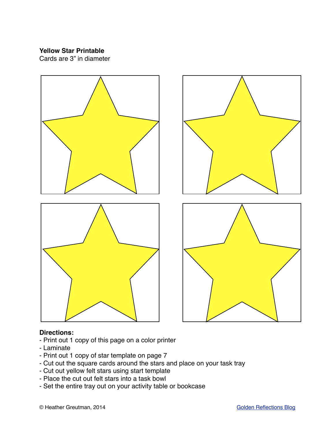## **Yellow Star Printable**

Cards are 3" in diameter



### **Directions:**

- Print out 1 copy of this page on a color printer
- Laminate
- Print out 1 copy of star template on page 7
- Cut out the square cards around the stars and place on your task tray
- Cut out yellow felt stars using start template
- Place the cut out felt stars into a task bowl
- Set the entire tray out on your activity table or bookcase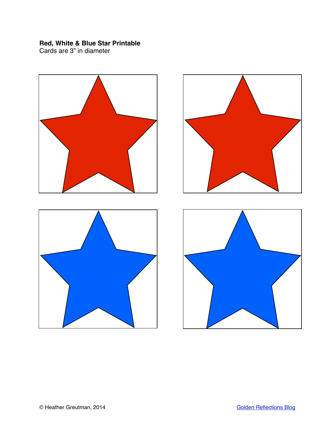# **Red, White & Blue Star Printable**

Cards are 3" in diameter

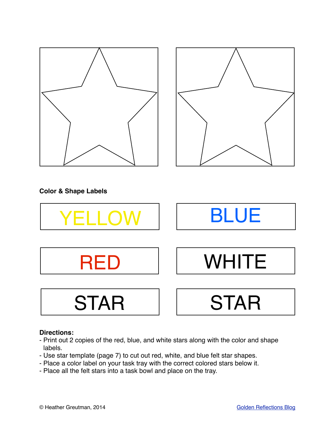

### **Directions:**

- Print out 2 copies of the red, blue, and white stars along with the color and shape labels.
- Use star template (page 7) to cut out red, white, and blue felt star shapes.
- Place a color label on your task tray with the correct colored stars below it.
- Place all the felt stars into a task bowl and place on the tray.